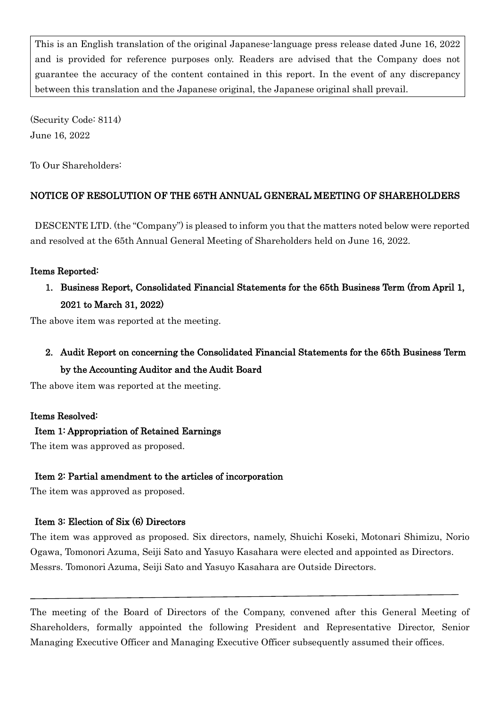This is an English translation of the original Japanese-language press release dated June 16, 2022 and is provided for reference purposes only. Readers are advised that the Company does not guarantee the accuracy of the content contained in this report. In the event of any discrepancy between this translation and the Japanese original, the Japanese original shall prevail.

(Security Code: 8114) June 16, 2022

To Our Shareholders:

# NOTICE OF RESOLUTION OF THE 65TH ANNUAL GENERAL MEETING OF SHAREHOLDERS

DESCENTE LTD. (the "Company") is pleased to inform you that the matters noted below were reported and resolved at the 65th Annual General Meeting of Shareholders held on June 16, 2022.

## Items Reported:

1. Business Report, Consolidated Financial Statements for the 65th Business Term (from April 1, 2021 to March 31, 2022)

The above item was reported at the meeting.

2. Audit Report on concerning the Consolidated Financial Statements for the 65th Business Term by the Accounting Auditor and the Audit Board

The above item was reported at the meeting.

## Items Resolved:

## Item 1: Appropriation of Retained Earnings

The item was approved as proposed.

## Item 2: Partial amendment to the articles of incorporation

The item was approved as proposed.

## Item 3: Election of Six (6) Directors

The item was approved as proposed. Six directors, namely, Shuichi Koseki, Motonari Shimizu, Norio Ogawa, Tomonori Azuma, Seiji Sato and Yasuyo Kasahara were elected and appointed as Directors. Messrs. Tomonori Azuma, Seiji Sato and Yasuyo Kasahara are Outside Directors.

The meeting of the Board of Directors of the Company, convened after this General Meeting of Shareholders, formally appointed the following President and Representative Director, Senior Managing Executive Officer and Managing Executive Officer subsequently assumed their offices.